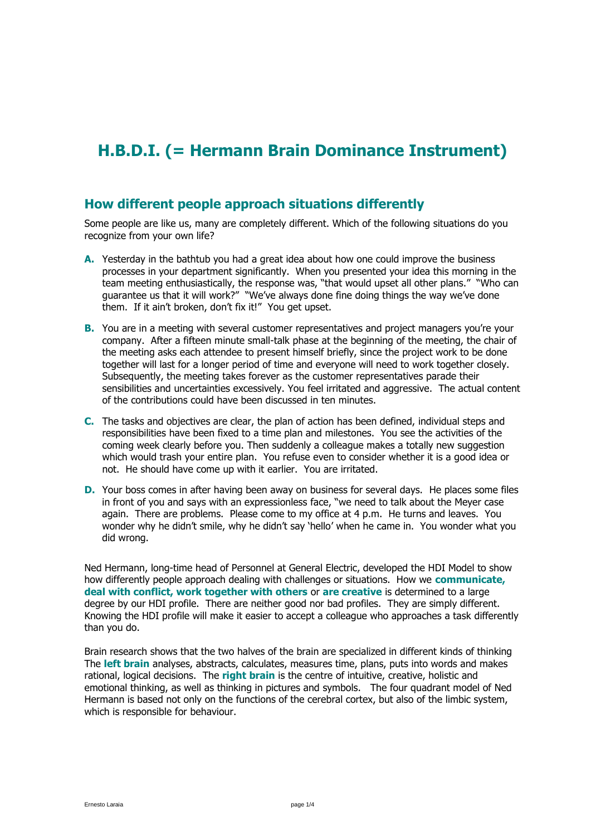# **H.B.D.I. (= Hermann Brain Dominance Instrument)**

#### **How different people approach situations differently**

Some people are like us, many are completely different. Which of the following situations do you recognize from your own life?

- **A.** Yesterday in the bathtub you had a great idea about how one could improve the business processes in your department significantly. When you presented your idea this morning in the team meeting enthusiastically, the response was, "that would upset all other plans." "Who can guarantee us that it will work?" "We've always done fine doing things the way we've done them. If it ain't broken, don't fix it!" You get upset.
- **B.** You are in a meeting with several customer representatives and project managers you're your company. After a fifteen minute small-talk phase at the beginning of the meeting, the chair of the meeting asks each attendee to present himself briefly, since the project work to be done together will last for a longer period of time and everyone will need to work together closely. Subsequently, the meeting takes forever as the customer representatives parade their sensibilities and uncertainties excessively. You feel irritated and aggressive. The actual content of the contributions could have been discussed in ten minutes.
- **C.** The tasks and objectives are clear, the plan of action has been defined, individual steps and responsibilities have been fixed to a time plan and milestones. You see the activities of the coming week clearly before you. Then suddenly a colleague makes a totally new suggestion which would trash your entire plan. You refuse even to consider whether it is a good idea or not. He should have come up with it earlier. You are irritated.
- **D.** Your boss comes in after having been away on business for several days. He places some files in front of you and says with an expressionless face, "we need to talk about the Meyer case again. There are problems. Please come to my office at 4 p.m. He turns and leaves. You wonder why he didn't smile, why he didn't say 'hello' when he came in. You wonder what you did wrong.

Ned Hermann, long-time head of Personnel at General Electric, developed the HDI Model to show how differently people approach dealing with challenges or situations. How we **communicate, deal with conflict, work together with others** or **are creative** is determined to a large degree by our HDI profile. There are neither good nor bad profiles. They are simply different. Knowing the HDI profile will make it easier to accept a colleague who approaches a task differently than you do.

Brain research shows that the two halves of the brain are specialized in different kinds of thinking The **left brain** analyses, abstracts, calculates, measures time, plans, puts into words and makes rational, logical decisions. The **right brain** is the centre of intuitive, creative, holistic and emotional thinking, as well as thinking in pictures and symbols. The four quadrant model of Ned Hermann is based not only on the functions of the cerebral cortex, but also of the limbic system, which is responsible for behaviour.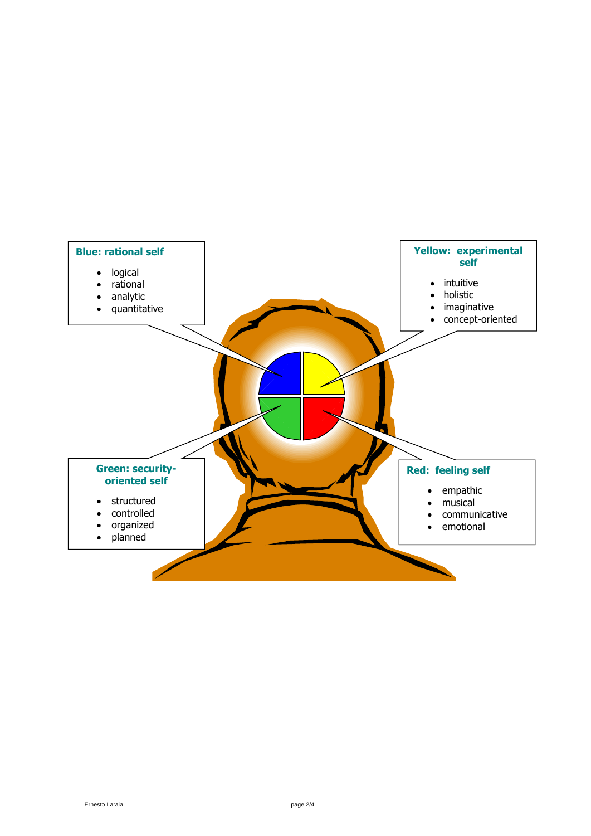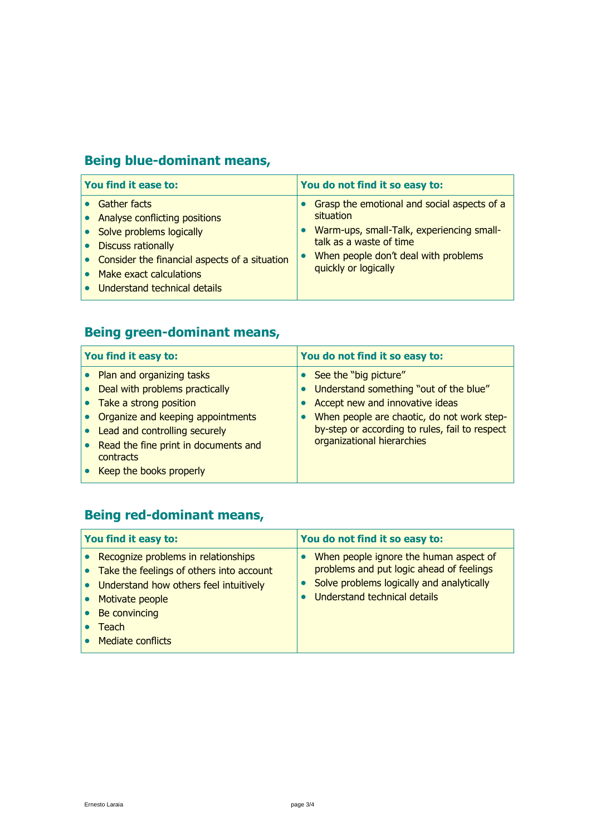## **Being blue-dominant means,**

| You find it ease to:                                                                                                                                                                                                                                                        | You do not find it so easy to:                                                                                                                                                                   |
|-----------------------------------------------------------------------------------------------------------------------------------------------------------------------------------------------------------------------------------------------------------------------------|--------------------------------------------------------------------------------------------------------------------------------------------------------------------------------------------------|
| <b>Gather facts</b><br>$\bullet$ Analyse conflicting positions<br><b>Solve problems logically</b><br><b>Discuss rationally</b><br>$\bullet$<br>$\bullet$ Consider the financial aspects of a situation<br>Make exact calculations<br>$\bullet$ Understand technical details | Grasp the emotional and social aspects of a<br>situation<br>Warm-ups, small-Talk, experiencing small-<br>talk as a waste of time<br>When people don't deal with problems<br>quickly or logically |

## **Being green-dominant means,**

| You find it easy to:                                                                                                                                                                                                                            | You do not find it so easy to:                                                                                                                                                                                                   |
|-------------------------------------------------------------------------------------------------------------------------------------------------------------------------------------------------------------------------------------------------|----------------------------------------------------------------------------------------------------------------------------------------------------------------------------------------------------------------------------------|
| • Plan and organizing tasks<br>Deal with problems practically<br>• Take a strong position<br>Organize and keeping appointments<br>Lead and controlling securely<br>Read the fine print in documents and<br>contracts<br>Keep the books properly | See the "big picture"<br>Understand something "out of the blue"<br>Accept new and innovative ideas<br>When people are chaotic, do not work step-<br>by-step or according to rules, fail to respect<br>organizational hierarchies |

#### **Being red-dominant means,**

| You find it easy to:                                                                                                                                                                        | You do not find it so easy to:                                                                                                                                  |
|---------------------------------------------------------------------------------------------------------------------------------------------------------------------------------------------|-----------------------------------------------------------------------------------------------------------------------------------------------------------------|
| Recognize problems in relationships<br>Take the feelings of others into account<br>Understand how others feel intuitively<br>Motivate people<br>Be convincing<br>Teach<br>Mediate conflicts | When people ignore the human aspect of<br>problems and put logic ahead of feelings<br>Solve problems logically and analytically<br>Understand technical details |